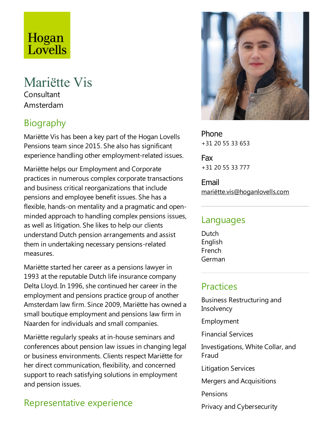# Hogan Lovells

## Mariëtte Vis **Consultant**

Amsterdam

## **Biography**

Mariëtte Vis has been a key part of the Hogan Lovells Pensions team since 2015. She also has significant experience handling other employment-related issues.

Mariëtte helps our Employment and Corporate practices in numerous complex corporate transactions and business critical reorganizations that include pensions and employee benefit issues. She has a flexible, hands-on mentality and a pragmatic and openminded approach to handling complex pensions issues, as well as litigation. She likes to help our clients understand Dutch pension arrangements and assist them in undertaking necessary pensions-related measures.

Mariëtte started her career as a pensions lawyer in 1993 at the reputable Dutch life insurance company Delta Lloyd. In 1996, she continued her career in the employment and pensions practice group of another Amsterdam law firm. Since 2009,Mariëtte has owned a small boutique employment and pensions law firm in Naarden for individuals and small companies.

Mariëtte regularly speaks at in-house seminars and conferences about pension law issues in changing legal or business environments. Clients respect Mariëtte for her direct communication, flexibility, and concerned support to reach satisfying solutions in employment and pension issues.

## Representative experience



Phone +31 20 55 33 653

Fax +31 20 55 33 777

Email mariëtte.vis@hoganlovells.com

#### Languages

**Dutch** English French German

#### Practices

Business Restructuring and **Insolvency** Employment Financial Services Investigations, White Collar, and Fraud Litigation Services Mergers and Acquisitions Pensions Privacy and Cybersecurity